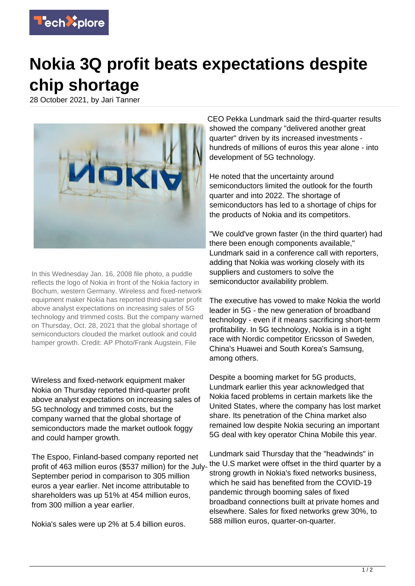

## **Nokia 3Q profit beats expectations despite chip shortage**

28 October 2021, by Jari Tanner



In this Wednesday Jan. 16, 2008 file photo, a puddle reflects the logo of Nokia in front of the Nokia factory in Bochum, western Germany. Wireless and fixed-network equipment maker Nokia has reported third-quarter profit above analyst expectations on increasing sales of 5G technology and trimmed costs. But the company warned on Thursday, Oct. 28, 2021 that the global shortage of semiconductors clouded the market outlook and could hamper growth. Credit: AP Photo/Frank Augstein, File

Wireless and fixed-network equipment maker Nokia on Thursday reported third-quarter profit above analyst expectations on increasing sales of 5G technology and trimmed costs, but the company warned that the global shortage of semiconductors made the market outlook foggy and could hamper growth.

The Espoo, Finland-based company reported net profit of 463 million euros (\$537 million) for the July-September period in comparison to 305 million euros a year earlier. Net income attributable to shareholders was up 51% at 454 million euros, from 300 million a year earlier.

Nokia's sales were up 2% at 5.4 billion euros.

CEO Pekka Lundmark said the third-quarter results showed the company "delivered another great quarter" driven by its increased investments hundreds of millions of euros this year alone - into development of 5G technology.

He noted that the uncertainty around semiconductors limited the outlook for the fourth quarter and into 2022. The shortage of semiconductors has led to a shortage of chips for the products of Nokia and its competitors.

"We could've grown faster (in the third quarter) had there been enough components available," Lundmark said in a conference call with reporters, adding that Nokia was working closely with its suppliers and customers to solve the semiconductor availability problem.

The executive has vowed to make Nokia the world leader in 5G - the new generation of broadband technology - even if it means sacrificing short-term profitability. In 5G technology, Nokia is in a tight race with Nordic competitor Ericsson of Sweden, China's Huawei and South Korea's Samsung, among others.

Despite a booming market for 5G products, Lundmark earlier this year acknowledged that Nokia faced problems in certain markets like the United States, where the company has lost market share. Its penetration of the China market also remained low despite Nokia securing an important 5G deal with key operator China Mobile this year.

Lundmark said Thursday that the "headwinds" in the U.S market were offset in the third quarter by a strong growth in Nokia's fixed networks business, which he said has benefited from the COVID-19 pandemic through booming sales of fixed broadband connections built at private homes and elsewhere. Sales for fixed networks grew 30%, to 588 million euros, quarter-on-quarter.